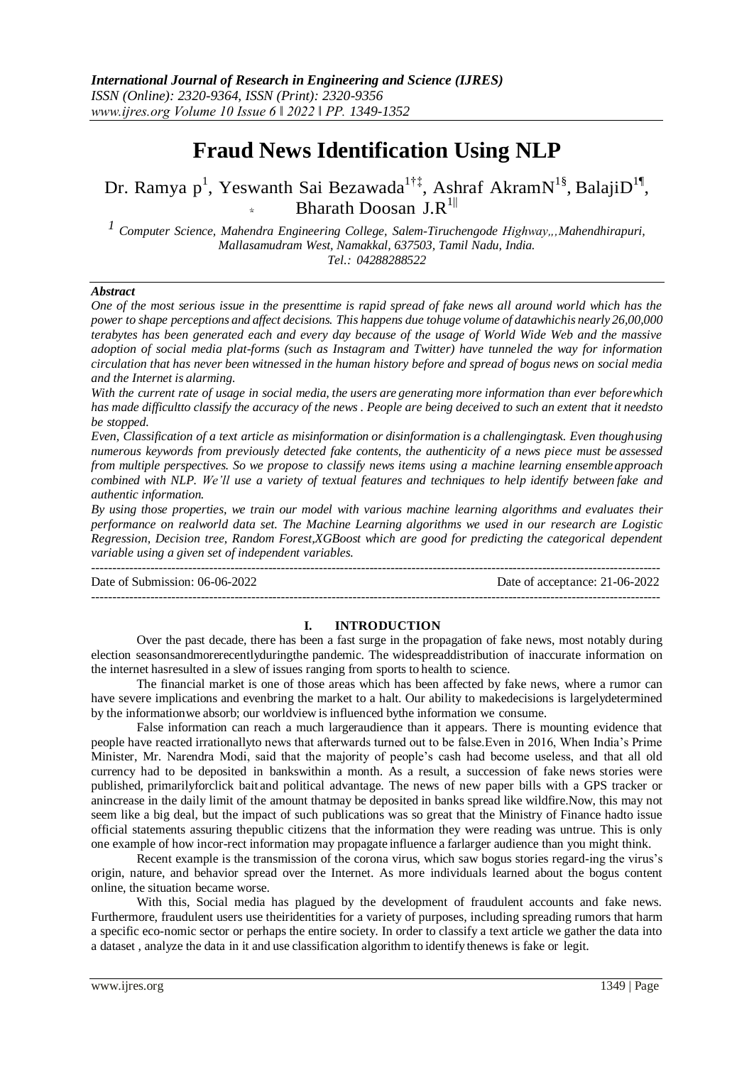# **Fraud News Identification Using NLP**

# Dr. Ramya p<sup>1</sup>, Yeswanth Sai Bezawada<sup>1†‡</sup>, Ashraf AkramN<sup>1§</sup>, BalajiD<sup>1¶</sup>, Bharath Doosan J.R $^{1||}$

<sup>1</sup> Computer Science, Mahendra Engineering College, Salem-Tiruchengode Highway,,,Mahendhirapuri, *Mallasamudram West, Namakkal, 637503, Tamil Nadu, India. Tel.: 04288288522*

#### *Abstract*

*One of the most serious issue in the presenttime is rapid spread of fake news all around world which has the power to shape perceptions and affect decisions. This happens due tohuge volume of datawhichis nearly 26,00,000 terabytes has been generated each and every day because of the usage of World Wide Web and the massive adoption of social media plat-forms (such as Instagram and Twitter) have tunneled the way for information* circulation that has never been witnessed in the human history before and spread of bogus news on social media *and the Internet is alarming.*

With the current rate of usage in social media, the users are generating more information than ever beforewhich *has made difficultto classify the accuracy of the news . People are being deceived to such an extent that it needsto be stopped.*

*Even, Classification of a text article as misinformation or disinformation is a challengingtask. Even thoughusing numerous keywords from previously detected fake contents, the authenticity of a news piece must be assessed from multiple perspectives. So we propose to classify news items using a machine learning ensemble approach* combined with NLP. We'll use a variety of textual features and techniques to help identify between fake and *authentic information.*

*By using those properties, we train our model with various machine learning algorithms and evaluates their performance on realworld data set. The Machine Learning algorithms we used in our research are Logistic Regression, Decision tree, Random Forest,XGBoost which are good for predicting the categorical dependent variable using a given set of independent variables.*

--------------------------------------------------------------------------------------------------------------------------------------- Date of Submission: 06-06-2022 Date of acceptance: 21-06-2022 ---------------------------------------------------------------------------------------------------------------------------------------

#### **I. INTRODUCTION**

Over the past decade, there has been a fast surge in the propagation of fake news, most notably during election seasonsandmorerecentlyduringthe pandemic. The widespreaddistribution of inaccurate information on the internet hasresulted in a slew of issues ranging from sports to health to science.

The financial market is one of those areas which has been affected by fake news, where a rumor can have severe implications and evenbring the market to a halt. Our ability to makedecisions is largelydetermined by the informationwe absorb; our worldview is influenced bythe information we consume.

False information can reach a much largeraudience than it appears. There is mounting evidence that people have reacted irrationallyto news that afterwards turned out to be false.Even in 2016, When India's Prime Minister, Mr. Narendra Modi, said that the majority of people's cash had become useless, and that all old currency had to be deposited in bankswithin a month. As a result, a succession of fake news stories were published, primarilyforclick bait and political advantage. The news of new paper bills with a GPS tracker or anincrease in the daily limit of the amount thatmay be deposited in banks spread like wildfire.Now, this may not seem like a big deal, but the impact of such publications was so great that the Ministry of Finance hadto issue official statements assuring thepublic citizens that the information they were reading was untrue. This is only one example of how incor-rect information may propagate influence a farlarger audience than you might think.

Recent example is the transmission of the corona virus, which saw bogus stories regard-ing the virus's origin, nature, and behavior spread over the Internet. As more individuals learned about the bogus content online, the situation became worse.

With this, Social media has plagued by the development of fraudulent accounts and fake news. Furthermore, fraudulent users use theiridentities for a variety of purposes, including spreading rumors that harm a specific eco-nomic sector or perhaps the entire society. In order to classify a text article we gather the data into a dataset , analyze the data in it and use classification algorithm to identify thenews is fake or legit.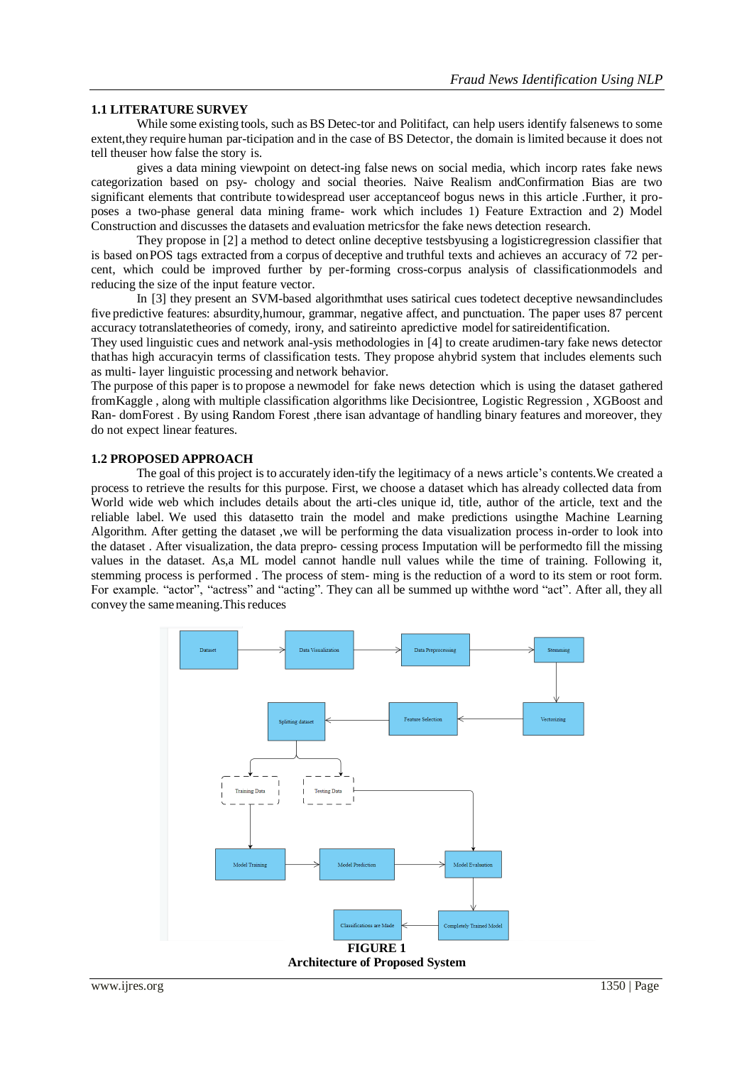#### **1.1 LITERATURE SURVEY**

While some existing tools, such as BS Detec-tor and Politifact, can help users identify falsenews to some extent,they require human par-ticipation and in the case of BS Detector, the domain is limited because it does not tell theuser how false the story is.

gives a data mining viewpoint on detect-ing false news on social media, which incorp rates fake news categorization based on psy- chology and social theories. Naive Realism andConfirmation Bias are two significant elements that contribute towidespread user acceptanceof bogus news in this article .Further, it proposes a two-phase general data mining frame- work which includes 1) Feature Extraction and 2) Model Construction and discusses the datasets and evaluation metricsfor the fake news detection research.

They propose in [2] a method to detect online deceptive testsbyusing a logisticregression classifier that is based onPOS tags extracted from a corpus of deceptive and truthful texts and achieves an accuracy of 72 percent, which could be improved further by per-forming cross-corpus analysis of classificationmodels and reducing the size of the input feature vector.

In [3] they present an SVM-based algorithmthat uses satirical cues todetect deceptive newsandincludes five predictive features: absurdity,humour, grammar, negative affect, and punctuation. The paper uses 87 percent accuracy totranslatetheories of comedy, irony, and satireinto apredictive modelforsatireidentification.

They used linguistic cues and network anal-ysis methodologies in [4] to create arudimen-tary fake news detector thathas high accuracyin terms of classification tests. They propose ahybrid system that includes elements such as multi- layer linguistic processing and network behavior.

The purpose of this paper is to propose a newmodel for fake news detection which is using the dataset gathered fromKaggle , along with multiple classification algorithms like Decisiontree, Logistic Regression , XGBoost and Ran- domForest . By using Random Forest , there is an advantage of handling binary features and moreover, they do not expect linear features.

#### **1.2 PROPOSED APPROACH**

The goal of this project is to accurately iden-tify the legitimacy of a news article's contents.We created a process to retrieve the results for this purpose. First, we choose a dataset which has already collected data from World wide web which includes details about the arti-cles unique id, title, author of the article, text and the reliable label. We used this datasetto train the model and make predictions usingthe Machine Learning Algorithm. After getting the dataset ,we will be performing the data visualization process in-order to look into the dataset . After visualization, the data prepro- cessing process Imputation will be performedto fill the missing values in the dataset. As,a ML model cannot handle null values while the time of training. Following it, stemming process is performed . The process of stem- ming is the reduction of a word to its stem or root form. For example. "actor", "actress" and "acting". They can all be summed up withthe word "act". After all, they all convey the same meaning. This reduces

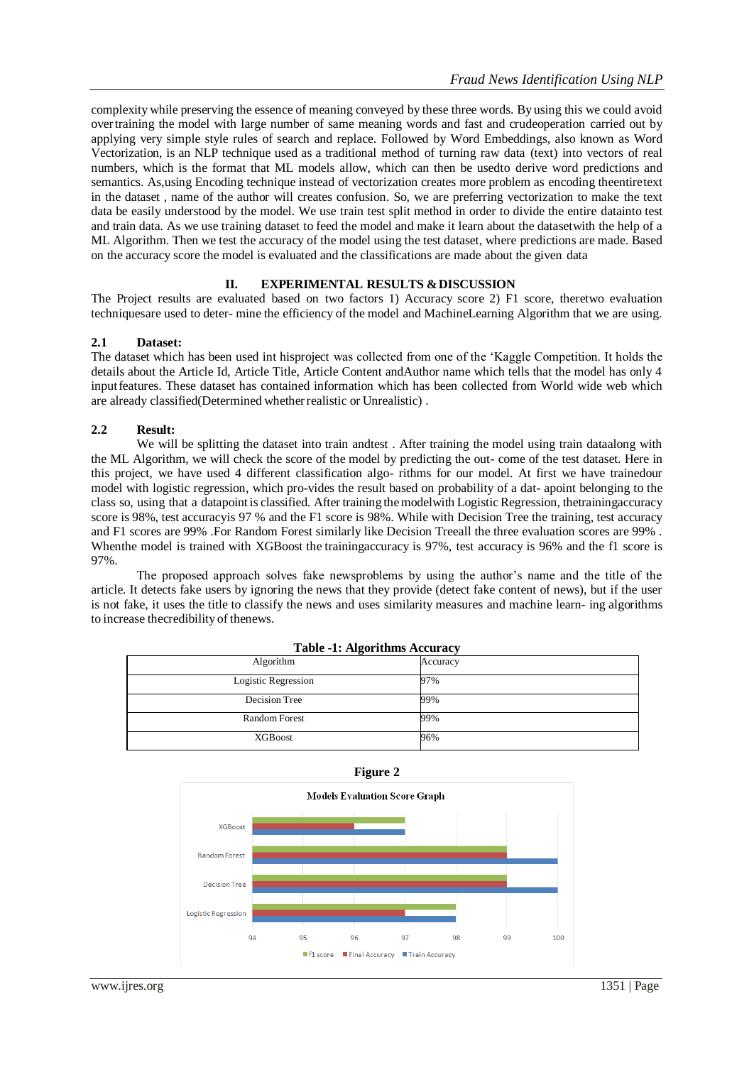complexity while preserving the essence of meaning conveyed by these three words. By using this we could avoid overtraining the model with large number of same meaning words and fast and crudeoperation carried out by applying very simple style rules of search and replace. Followed by Word Embeddings, also known as Word Vectorization, is an NLP technique used as a traditional method of turning raw data (text) into vectors of real numbers, which is the format that ML models allow, which can then be usedto derive word predictions and semantics. As,using Encoding technique instead of vectorization creates more problem as encoding theentiretext in the dataset , name of the author will creates confusion. So, we are preferring vectorization to make the text data be easily understood by the model. We use train test split method in order to divide the entire datainto test and train data. As we use training dataset to feed the model and make it learn about the datasetwith the help of a ML Algorithm. Then we test the accuracy of the model using the test dataset, where predictions are made. Based on the accuracy score the model is evaluated and the classifications are made about the given data

# **II. EXPERIMENTAL RESULTS &DISCUSSION**

The Project results are evaluated based on two factors 1) Accuracy score 2) F1 score, theretwo evaluation techniquesare used to deter- mine the efficiency of the model and MachineLearning Algorithm that we are using.

#### **2.1 Dataset:**

The dataset which has been used int hisproject was collected from one of the 'Kaggle Competition. It holds the details about the Article Id, Article Title, Article Content andAuthor name which tells that the model has only 4 inputfeatures. These dataset has contained information which has been collected from World wide web which are already classified(Determined whether realistic or Unrealistic).

#### **2.2 Result:**

We will be splitting the dataset into train andtest . After training the model using train dataalong with the ML Algorithm, we will check the score of the model by predicting the out- come of the test dataset. Here in this project, we have used 4 different classification algo- rithms for our model. At first we have trainedour model with logistic regression, which pro-vides the result based on probability of a dat- apoint belonging to the class so, using that a datapoint is classified. After training themodelwith LogisticRegression, thetrainingaccuracy score is 98%, test accuracyis 97 % and the F1 score is 98%. While with Decision Tree the training, test accuracy and F1 scores are 99% .For Random Forest similarly like Decision Treeall the three evaluation scores are 99% . When the model is trained with XGBoost the training accuracy is 97%, test accuracy is 96% and the f1 score is 97%.

The proposed approach solves fake newsproblems by using the author's name and the title of the article. It detects fake users by ignoring the news that they provide (detect fake content of news), but if the user is not fake, it uses the title to classify the news and uses similarity measures and machine learn- ing algorithms to increase thecredibility of thenews.

| ----- <del>.</del>   |          |
|----------------------|----------|
| Algorithm            | Accuracy |
| Logistic Regression  | 97%      |
| Decision Tree        | 99%      |
| <b>Random Forest</b> | 99%      |
| XGBoost              | 96%      |

**Table -1: Algorithms Accuracy**